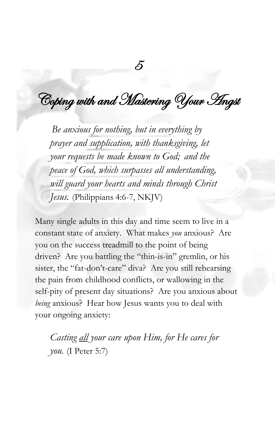Coping with and Mastering Your Angst

5

*Be anxious for nothing, but in everything by prayer and supplication, with thanksgiving, let your requests be made known to God; and the peace of God, which surpasses all understanding, will guard your hearts and minds through Christ Jesus.* (Philippians 4:6-7, NKJV)

Many single adults in this day and time seem to live in a constant state of anxiety. What makes *you* anxious? Are you on the success treadmill to the point of being driven? Are you battling the "thin-is-in" gremlin, or his sister, the "fat-don't-care" diva? Are you still rehearsing the pain from childhood conflicts, or wallowing in the self-pity of present day situations? Are you anxious about *being* anxious? Hear how Jesus wants you to deal with your ongoing anxiety:

*Casting all your care upon Him, for He cares for you.* (I Peter 5:7)